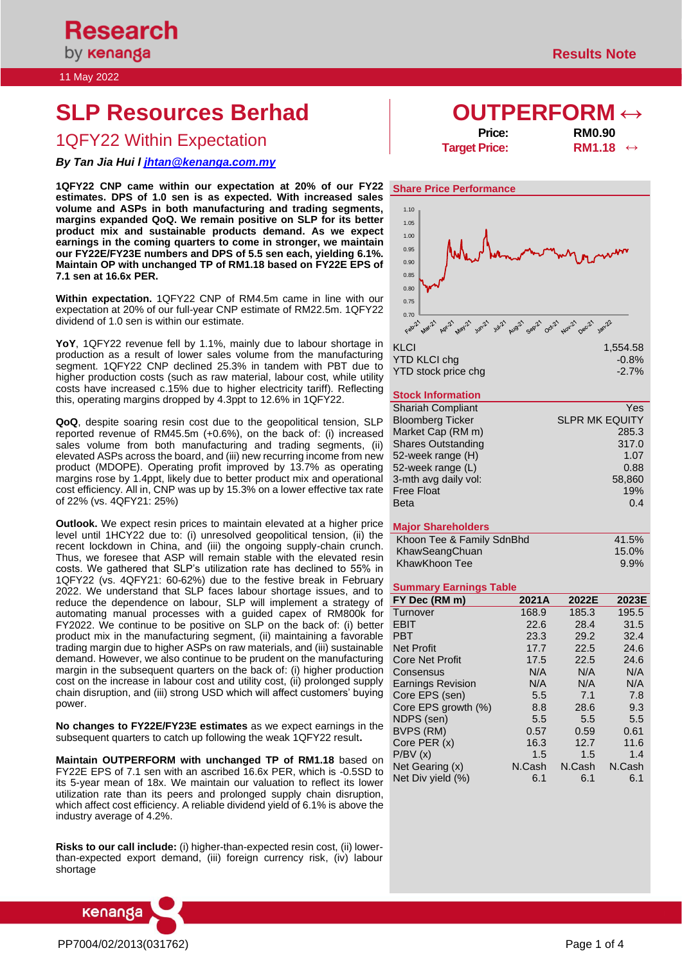#### 11 May 2022

# **SLP Resources Berhad OUTPERFORM ↔**

# 1QFY22 Within Expectation **Price:** RM0.90<br>→ Target Price: RM1.18

## *By Tan Jia Hui l [jhtan@kenanga.com.my](mailto:jhtan@kenanga.com.my)*

**1QFY22 CNP came within our expectation at 20% of our FY22 estimates. DPS of 1.0 sen is as expected. With increased sales volume and ASPs in both manufacturing and trading segments, margins expanded QoQ. We remain positive on SLP for its better product mix and sustainable products demand. As we expect earnings in the coming quarters to come in stronger, we maintain our FY22E/FY23E numbers and DPS of 5.5 sen each, yielding 6.1%. Maintain OP with unchanged TP of RM1.18 based on FY22E EPS of 7.1 sen at 16.6x PER.**

**Within expectation.** 1QFY22 CNP of RM4.5m came in line with our expectation at 20% of our full-year CNP estimate of RM22.5m. 1QFY22 dividend of 1.0 sen is within our estimate.

**YoY**, 1QFY22 revenue fell by 1.1%, mainly due to labour shortage in production as a result of lower sales volume from the manufacturing segment. 1QFY22 CNP declined 25.3% in tandem with PBT due to higher production costs (such as raw material, labour cost, while utility costs have increased c.15% due to higher electricity tariff). Reflecting this, operating margins dropped by 4.3ppt to 12.6% in 1QFY22.

**QoQ**, despite soaring resin cost due to the geopolitical tension, SLP reported revenue of RM45.5m (+0.6%), on the back of: (i) increased sales volume from both manufacturing and trading segments, (ii) elevated ASPs across the board, and (iii) new recurring income from new product (MDOPE). Operating profit improved by 13.7% as operating margins rose by 1.4ppt, likely due to better product mix and operational cost efficiency. All in, CNP was up by 15.3% on a lower effective tax rate of 22% (vs. 4QFY21: 25%)

**Outlook.** We expect resin prices to maintain elevated at a higher price level until 1HCY22 due to: (i) unresolved geopolitical tension, (ii) the recent lockdown in China, and (iii) the ongoing supply-chain crunch. Thus, we foresee that ASP will remain stable with the elevated resin costs. We gathered that SLP's utilization rate has declined to 55% in 1QFY22 (vs. 4QFY21: 60-62%) due to the festive break in February 2022. We understand that SLP faces labour shortage issues, and to reduce the dependence on labour, SLP will implement a strategy of automating manual processes with a guided capex of RM800k for FY2022. We continue to be positive on SLP on the back of: (i) better product mix in the manufacturing segment, (ii) maintaining a favorable trading margin due to higher ASPs on raw materials, and (iii) sustainable demand. However, we also continue to be prudent on the manufacturing margin in the subsequent quarters on the back of: (i) higher production cost on the increase in labour cost and utility cost, (ii) prolonged supply chain disruption, and (iii) strong USD which will affect customers' buying power.

**No changes to FY22E/FY23E estimates** as we expect earnings in the subsequent quarters to catch up following the weak 1QFY22 result**.**

**Maintain OUTPERFORM with unchanged TP of RM1.18** based on FY22E EPS of 7.1 sen with an ascribed 16.6x PER, which is -0.5SD to its 5-year mean of 18x. We maintain our valuation to reflect its lower utilization rate than its peers and prolonged supply chain disruption, which affect cost efficiency. A reliable dividend yield of 6.1% is above the industry average of 4.2%.

**Risks to our call include:** (i) higher-than-expected resin cost, (ii) lowerthan-expected export demand, (iii) foreign currency risk, (iv) labour shortage



**Target Price:** 



|                     | .        |
|---------------------|----------|
| YTD KLCI cha        | $-0.8\%$ |
| YTD stock price chg | $-2.7\%$ |

### **Stock Information**

| <b>Shariah Compliant</b>  | Yes                   |
|---------------------------|-----------------------|
| <b>Bloomberg Ticker</b>   | <b>SLPR MK EQUITY</b> |
| Market Cap (RM m)         | 285.3                 |
| <b>Shares Outstanding</b> | 317.0                 |
| 52-week range (H)         | 1.07                  |
| 52-week range (L)         | 0.88                  |
| 3-mth avg daily vol:      | 58,860                |
| <b>Free Float</b>         | 19%                   |
| <b>Beta</b>               | 0.4                   |

#### **Major Shareholders**

| Khoon Tee & Family SdnBhd | 41.5%    |
|---------------------------|----------|
| KhawSeangChuan            | $15.0\%$ |
| KhawKhoon Tee             | $9.9\%$  |

#### **Summary Earnings Table**

| FY Dec (RM m)            | 2021A  | 2022E  | 2023E  |
|--------------------------|--------|--------|--------|
| Turnover                 | 168.9  | 185.3  | 195.5  |
| <b>EBIT</b>              | 22.6   | 28.4   | 31.5   |
| <b>PBT</b>               | 23.3   | 29.2   | 32.4   |
| <b>Net Profit</b>        | 17.7   | 22.5   | 24.6   |
| <b>Core Net Profit</b>   | 17.5   | 22.5   | 24.6   |
| Consensus                | N/A    | N/A    | N/A    |
| <b>Earnings Revision</b> | N/A    | N/A    | N/A    |
| Core EPS (sen)           | 5.5    | 7.1    | 7.8    |
| Core EPS growth (%)      | 8.8    | 28.6   | 9.3    |
| NDPS (sen)               | 5.5    | 5.5    | 5.5    |
| BVPS (RM)                | 0.57   | 0.59   | 0.61   |
| Core PER (x)             | 16.3   | 12.7   | 11.6   |
| P/BV(x)                  | 1.5    | 1.5    | 1.4    |
| Net Gearing (x)          | N.Cash | N.Cash | N.Cash |
| Net Div yield (%)        | 6.1    | 6.1    | 6.1    |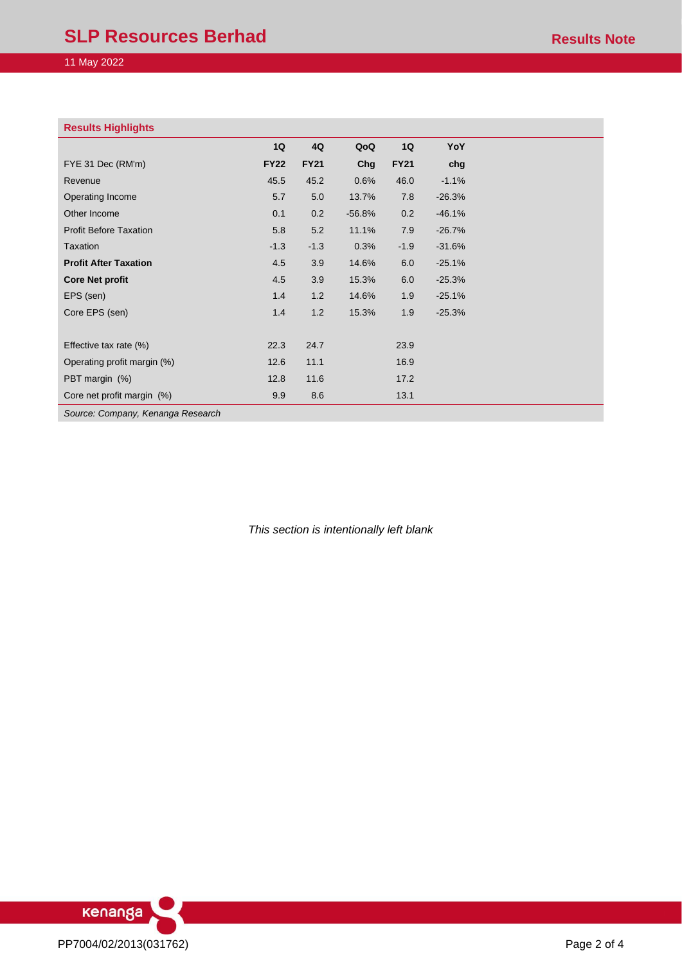| <b>Results Highlights</b>     |             |             |          |             |          |
|-------------------------------|-------------|-------------|----------|-------------|----------|
|                               | 1Q          | 4Q          | QoQ      | 1Q          | YoY      |
| FYE 31 Dec (RM'm)             | <b>FY22</b> | <b>FY21</b> | Chg      | <b>FY21</b> | chg      |
| Revenue                       | 45.5        | 45.2        | 0.6%     | 46.0        | $-1.1%$  |
| Operating Income              | 5.7         | 5.0         | 13.7%    | 7.8         | $-26.3%$ |
| Other Income                  | 0.1         | 0.2         | $-56.8%$ | 0.2         | $-46.1%$ |
| <b>Profit Before Taxation</b> | 5.8         | 5.2         | 11.1%    | 7.9         | $-26.7%$ |
| Taxation                      | $-1.3$      | $-1.3$      | 0.3%     | $-1.9$      | $-31.6%$ |
| <b>Profit After Taxation</b>  | 4.5         | 3.9         | 14.6%    | 6.0         | $-25.1%$ |
| <b>Core Net profit</b>        | 4.5         | 3.9         | 15.3%    | 6.0         | $-25.3%$ |
| EPS (sen)                     | 1.4         | 1.2         | 14.6%    | 1.9         | $-25.1%$ |
| Core EPS (sen)                | 1.4         | 1.2         | 15.3%    | 1.9         | $-25.3%$ |
|                               |             |             |          |             |          |
| Effective tax rate (%)        | 22.3        | 24.7        |          | 23.9        |          |
| Operating profit margin (%)   | 12.6        | 11.1        |          | 16.9        |          |
| PBT margin (%)                | 12.8        | 11.6        |          | 17.2        |          |
| Core net profit margin (%)    | 9.9         | 8.6         |          | 13.1        |          |

*Source: Company, Kenanga Research*

*This section is intentionally left blank*

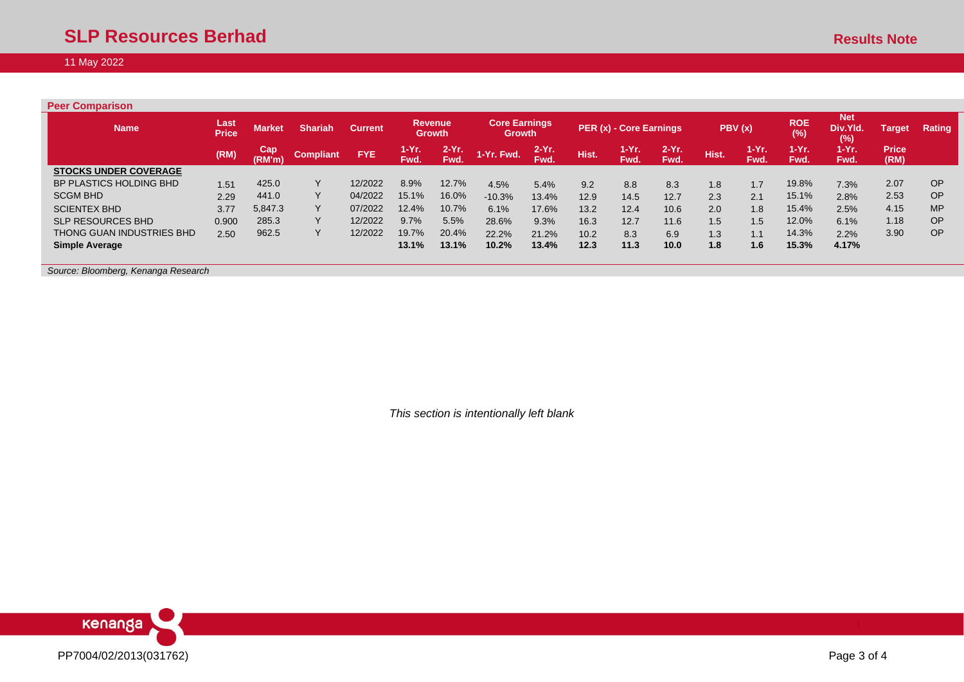| <b>Peer Comparison</b>       |                      |               |                  |                |                     |                                 |                                       |                  |       |                         |                  |       |                 |                        |                               |                      |           |
|------------------------------|----------------------|---------------|------------------|----------------|---------------------|---------------------------------|---------------------------------------|------------------|-------|-------------------------|------------------|-------|-----------------|------------------------|-------------------------------|----------------------|-----------|
| <b>Name</b>                  | Last<br><b>Price</b> | <b>Market</b> | <b>Shariah</b>   | <b>Current</b> |                     | <b>Revenue</b><br><b>Growth</b> | <b>Core Earnings</b><br><b>Growth</b> |                  |       | PER (x) - Core Earnings |                  |       | PBV(x)          | <b>ROE</b><br>(%)      | <b>Net</b><br>Div.Yld.<br>(%) | <b>Target</b>        | Rating    |
|                              | (RM)                 | Cap<br>(RM'm) | <b>Compliant</b> | FYE.           | 1-Yr.<br><b>Fwd</b> | 2-Yr.<br>Fwd.                   | 1-Yr. Fwd.                            | $2-Yr$ .<br>Fwd. | Hist. | $1-Yr.$<br>Fwd.         | $2-Yr$ .<br>Fwd. | Hist. | $1-Yr.$<br>Fwd. | $1-Yr$ .<br><b>Fwd</b> | $1-Yr.$<br>Fwd.               | <b>Price</b><br>(RM) |           |
| <b>STOCKS UNDER COVERAGE</b> |                      |               |                  |                |                     |                                 |                                       |                  |       |                         |                  |       |                 |                        |                               |                      |           |
| BP PLASTICS HOLDING BHD      | 1.51                 | 425.0         | Υ                | 12/2022        | 8.9%                | 12.7%                           | 4.5%                                  | 5.4%             | 9.2   | 8.8                     | 8.3              | 1.8   | 1.7             | 19.8%                  | 7.3%                          | 2.07                 | <b>OP</b> |
| <b>SCGM BHD</b>              | 2.29                 | 441.0         | Y                | 04/2022        | 15.1%               | 16.0%                           | $-10.3%$                              | 13.4%            | 12.9  | 14.5                    | 12.7             | 2.3   | 2.1             | 15.1%                  | 2.8%                          | 2.53                 | <b>OP</b> |
| <b>SCIENTEX BHD</b>          | 3.77                 | 5,847.3       | Υ                | 07/2022        | 12.4%               | 10.7%                           | 6.1%                                  | 17.6%            | 13.2  | 12.4                    | 10.6             | 2.0   | 1.8             | 15.4%                  | 2.5%                          | 4.15                 | <b>MP</b> |
| <b>SLP RESOURCES BHD</b>     | 0.900                | 285.3         | Y                | 12/2022        | 9.7%                | 5.5%                            | 28.6%                                 | 9.3%             | 16.3  | 12.7                    | 11.6             | 1.5   | 1.5             | 12.0%                  | 6.1%                          | 1.18                 | <b>OP</b> |
| THONG GUAN INDUSTRIES BHD    | 2.50                 | 962.5         | Υ                | 12/2022        | 19.7%               | 20.4%                           | 22.2%                                 | 21.2%            | 10.2  | 8.3                     | 6.9              | 1.3   | 1.1             | 14.3%                  | 2.2%                          | 3.90                 | <b>OP</b> |
| <b>Simple Average</b>        |                      |               |                  |                | 13.1%               | 13.1%                           | 10.2%                                 | 13.4%            | 12.3  | 11.3                    | 10.0             | 1.8   | 1.6             | 15.3%                  | 4.17%                         |                      |           |

*Source: Bloomberg, Kenanga Research*

*This section is intentionally left blank*